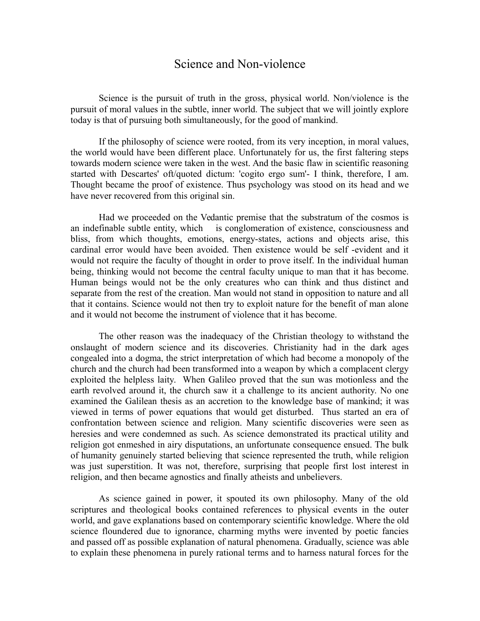## Science and Non-violence

Science is the pursuit of truth in the gross, physical world. Non/violence is the pursuit of moral values in the subtle, inner world. The subject that we will jointly explore today is that of pursuing both simultaneously, for the good of mankind.

If the philosophy of science were rooted, from its very inception, in moral values, the world would have been different place. Unfortunately for us, the first faltering steps towards modern science were taken in the west. And the basic flaw in scientific reasoning started with Descartes' oft/quoted dictum: 'cogito ergo sum'- I think, therefore, I am. Thought became the proof of existence. Thus psychology was stood on its head and we have never recovered from this original sin.

Had we proceeded on the Vedantic premise that the substratum of the cosmos is an indefinable subtle entity, which is conglomeration of existence, consciousness and bliss, from which thoughts, emotions, energy-states, actions and objects arise, this cardinal error would have been avoided. Then existence would be self -evident and it would not require the faculty of thought in order to prove itself. In the individual human being, thinking would not become the central faculty unique to man that it has become. Human beings would not be the only creatures who can think and thus distinct and separate from the rest of the creation. Man would not stand in opposition to nature and all that it contains. Science would not then try to exploit nature for the benefit of man alone and it would not become the instrument of violence that it has become.

The other reason was the inadequacy of the Christian theology to withstand the onslaught of modern science and its discoveries. Christianity had in the dark ages congealed into a dogma, the strict interpretation of which had become a monopoly of the church and the church had been transformed into a weapon by which a complacent clergy exploited the helpless laity. When Galileo proved that the sun was motionless and the earth revolved around it, the church saw it a challenge to its ancient authority. No one examined the Galilean thesis as an accretion to the knowledge base of mankind; it was viewed in terms of power equations that would get disturbed. Thus started an era of confrontation between science and religion. Many scientific discoveries were seen as heresies and were condemned as such. As science demonstrated its practical utility and religion got enmeshed in airy disputations, an unfortunate consequence ensued. The bulk of humanity genuinely started believing that science represented the truth, while religion was just superstition. It was not, therefore, surprising that people first lost interest in religion, and then became agnostics and finally atheists and unbelievers.

As science gained in power, it spouted its own philosophy. Many of the old scriptures and theological books contained references to physical events in the outer world, and gave explanations based on contemporary scientific knowledge. Where the old science floundered due to ignorance, charming myths were invented by poetic fancies and passed off as possible explanation of natural phenomena. Gradually, science was able to explain these phenomena in purely rational terms and to harness natural forces for the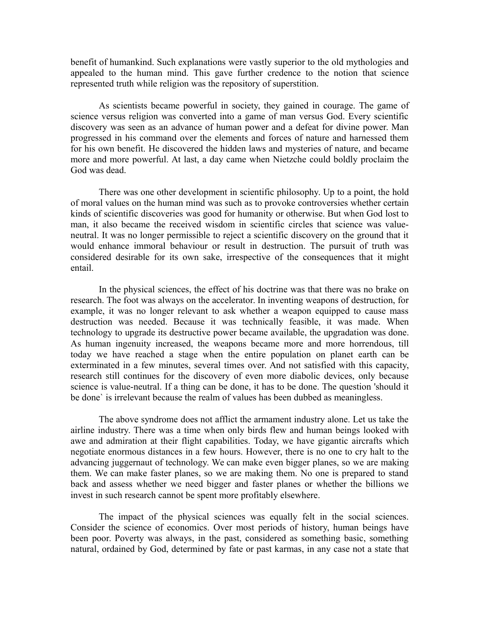benefit of humankind. Such explanations were vastly superior to the old mythologies and appealed to the human mind. This gave further credence to the notion that science represented truth while religion was the repository of superstition.

As scientists became powerful in society, they gained in courage. The game of science versus religion was converted into a game of man versus God. Every scientific discovery was seen as an advance of human power and a defeat for divine power. Man progressed in his command over the elements and forces of nature and harnessed them for his own benefit. He discovered the hidden laws and mysteries of nature, and became more and more powerful. At last, a day came when Nietzche could boldly proclaim the God was dead.

There was one other development in scientific philosophy. Up to a point, the hold of moral values on the human mind was such as to provoke controversies whether certain kinds of scientific discoveries was good for humanity or otherwise. But when God lost to man, it also became the received wisdom in scientific circles that science was valueneutral. It was no longer permissible to reject a scientific discovery on the ground that it would enhance immoral behaviour or result in destruction. The pursuit of truth was considered desirable for its own sake, irrespective of the consequences that it might entail.

In the physical sciences, the effect of his doctrine was that there was no brake on research. The foot was always on the accelerator. In inventing weapons of destruction, for example, it was no longer relevant to ask whether a weapon equipped to cause mass destruction was needed. Because it was technically feasible, it was made. When technology to upgrade its destructive power became available, the upgradation was done. As human ingenuity increased, the weapons became more and more horrendous, till today we have reached a stage when the entire population on planet earth can be exterminated in a few minutes, several times over. And not satisfied with this capacity, research still continues for the discovery of even more diabolic devices, only because science is value-neutral. If a thing can be done, it has to be done. The question 'should it be done` is irrelevant because the realm of values has been dubbed as meaningless.

The above syndrome does not afflict the armament industry alone. Let us take the airline industry. There was a time when only birds flew and human beings looked with awe and admiration at their flight capabilities. Today, we have gigantic aircrafts which negotiate enormous distances in a few hours. However, there is no one to cry halt to the advancing juggernaut of technology. We can make even bigger planes, so we are making them. We can make faster planes, so we are making them. No one is prepared to stand back and assess whether we need bigger and faster planes or whether the billions we invest in such research cannot be spent more profitably elsewhere.

The impact of the physical sciences was equally felt in the social sciences. Consider the science of economics. Over most periods of history, human beings have been poor. Poverty was always, in the past, considered as something basic, something natural, ordained by God, determined by fate or past karmas, in any case not a state that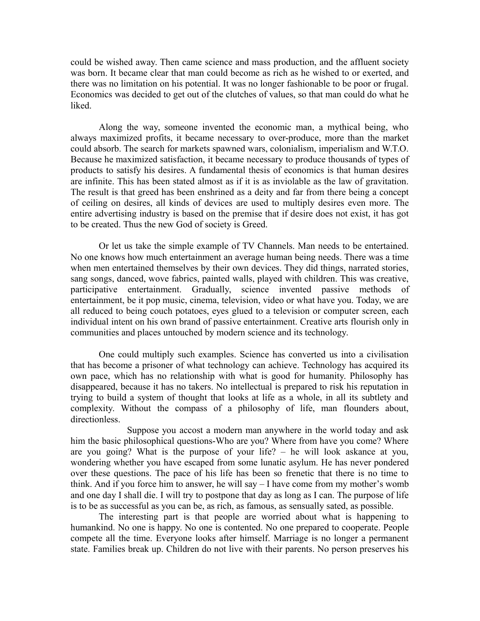could be wished away. Then came science and mass production, and the affluent society was born. It became clear that man could become as rich as he wished to or exerted, and there was no limitation on his potential. It was no longer fashionable to be poor or frugal. Economics was decided to get out of the clutches of values, so that man could do what he liked.

Along the way, someone invented the economic man, a mythical being, who always maximized profits, it became necessary to over-produce, more than the market could absorb. The search for markets spawned wars, colonialism, imperialism and W.T.O. Because he maximized satisfaction, it became necessary to produce thousands of types of products to satisfy his desires. A fundamental thesis of economics is that human desires are infinite. This has been stated almost as if it is as inviolable as the law of gravitation. The result is that greed has been enshrined as a deity and far from there being a concept of ceiling on desires, all kinds of devices are used to multiply desires even more. The entire advertising industry is based on the premise that if desire does not exist, it has got to be created. Thus the new God of society is Greed.

Or let us take the simple example of TV Channels. Man needs to be entertained. No one knows how much entertainment an average human being needs. There was a time when men entertained themselves by their own devices. They did things, narrated stories, sang songs, danced, wove fabrics, painted walls, played with children. This was creative, participative entertainment. Gradually, science invented passive methods of entertainment, be it pop music, cinema, television, video or what have you. Today, we are all reduced to being couch potatoes, eyes glued to a television or computer screen, each individual intent on his own brand of passive entertainment. Creative arts flourish only in communities and places untouched by modern science and its technology.

One could multiply such examples. Science has converted us into a civilisation that has become a prisoner of what technology can achieve. Technology has acquired its own pace, which has no relationship with what is good for humanity. Philosophy has disappeared, because it has no takers. No intellectual is prepared to risk his reputation in trying to build a system of thought that looks at life as a whole, in all its subtlety and complexity. Without the compass of a philosophy of life, man flounders about, directionless.

Suppose you accost a modern man anywhere in the world today and ask him the basic philosophical questions-Who are you? Where from have you come? Where are you going? What is the purpose of your life? – he will look askance at you, wondering whether you have escaped from some lunatic asylum. He has never pondered over these questions. The pace of his life has been so frenetic that there is no time to think. And if you force him to answer, he will say – I have come from my mother's womb and one day I shall die. I will try to postpone that day as long as I can. The purpose of life is to be as successful as you can be, as rich, as famous, as sensually sated, as possible.

The interesting part is that people are worried about what is happening to humankind. No one is happy. No one is contented. No one prepared to cooperate. People compete all the time. Everyone looks after himself. Marriage is no longer a permanent state. Families break up. Children do not live with their parents. No person preserves his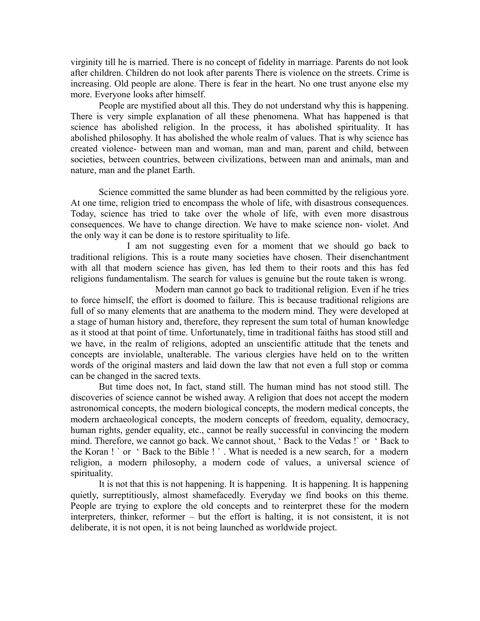virginity till he is married. There is no concept of fidelity in marriage. Parents do not look after children. Children do not look after parents There is violence on the streets. Crime is increasing. Old people are alone. There is fear in the heart. No one trust anyone else my more. Everyone looks after himself.

People are mystified about all this. They do not understand why this is happening. There is very simple explanation of all these phenomena. What has happened is that science has abolished religion. In the process, it has abolished spirituality. It has abolished philosophy. It has abolished the whole realm of values. That is why science has created violence- between man and woman, man and man, parent and child, between societies, between countries, between civilizations, between man and animals, man and nature, man and the planet Earth.

Science committed the same blunder as had been committed by the religious yore. At one time, religion tried to encompass the whole of life, with disastrous consequences. Today, science has tried to take over the whole of life, with even more disastrous consequences. We have to change direction. We have to make science non- violet. And the only way it can be done is to restore spirituality to life.

I am not suggesting even for a moment that we should go back to traditional religions. This is a route many societies have chosen. Their disenchantment with all that modern science has given, has led them to their roots and this has fed religions fundamentalism. The search for values is genuine but the route taken is wrong.

Modern man cannot go back to traditional religion. Even if he tries to force himself, the effort is doomed to failure. This is because traditional religions are full of so many elements that are anathema to the modern mind. They were developed at a stage of human history and, therefore, they represent the sum total of human knowledge as it stood at that point of time. Unfortunately, time in traditional faiths has stood still and we have, in the realm of religions, adopted an unscientific attitude that the tenets and concepts are inviolable, unalterable. The various clergies have held on to the written words of the original masters and laid down the law that not even a full stop or comma can be changed in the sacred texts.

But time does not, In fact, stand still. The human mind has not stood still. The discoveries of science cannot be wished away. A religion that does not accept the modern astronomical concepts, the modern biological concepts, the modern medical concepts, the modern archaeological concepts, the modern concepts of freedom, equality, democracy, human rights, gender equality, etc., cannot be really successful in convincing the modern mind. Therefore, we cannot go back. We cannot shout, ' Back to the Vedas !` or ' Back to the Koran ! ` or ' Back to the Bible ! ` . What is needed is a new search, for a modern religion, a modern philosophy, a modern code of values, a universal science of spirituality.

It is not that this is not happening. It is happening. It is happening. It is happening quietly, surreptitiously, almost shamefacedly. Everyday we find books on this theme. People are trying to explore the old concepts and to reinterpret these for the modern interpreters, thinker, reformer – but the effort is halting, it is not consistent, it is not deliberate, it is not open, it is not being launched as worldwide project.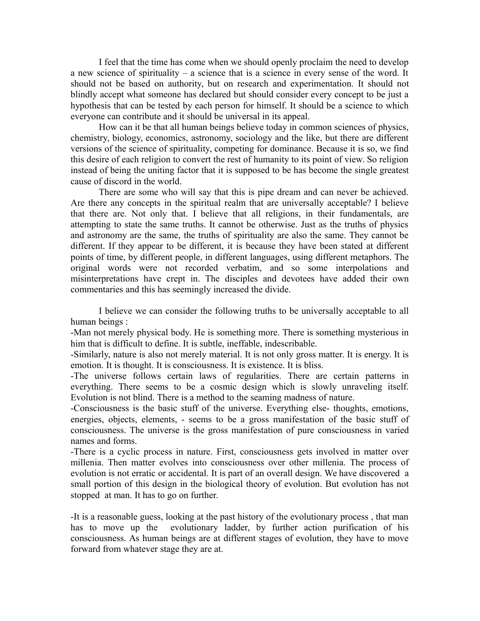I feel that the time has come when we should openly proclaim the need to develop a new science of spirituality – a science that is a science in every sense of the word. It should not be based on authority, but on research and experimentation. It should not blindly accept what someone has declared but should consider every concept to be just a hypothesis that can be tested by each person for himself. It should be a science to which everyone can contribute and it should be universal in its appeal.

How can it be that all human beings believe today in common sciences of physics, chemistry, biology, economics, astronomy, sociology and the like, but there are different versions of the science of spirituality, competing for dominance. Because it is so, we find this desire of each religion to convert the rest of humanity to its point of view. So religion instead of being the uniting factor that it is supposed to be has become the single greatest cause of discord in the world.

There are some who will say that this is pipe dream and can never be achieved. Are there any concepts in the spiritual realm that are universally acceptable? I believe that there are. Not only that. I believe that all religions, in their fundamentals, are attempting to state the same truths. It cannot be otherwise. Just as the truths of physics and astronomy are the same, the truths of spirituality are also the same. They cannot be different. If they appear to be different, it is because they have been stated at different points of time, by different people, in different languages, using different metaphors. The original words were not recorded verbatim, and so some interpolations and misinterpretations have crept in. The disciples and devotees have added their own commentaries and this has seemingly increased the divide.

I believe we can consider the following truths to be universally acceptable to all human beings :

-Man not merely physical body. He is something more. There is something mysterious in him that is difficult to define. It is subtle, ineffable, indescribable.

-Similarly, nature is also not merely material. It is not only gross matter. It is energy. It is emotion. It is thought. It is consciousness. It is existence. It is bliss.

-The universe follows certain laws of regularities. There are certain patterns in everything. There seems to be a cosmic design which is slowly unraveling itself. Evolution is not blind. There is a method to the seaming madness of nature.

-Consciousness is the basic stuff of the universe. Everything else- thoughts, emotions, energies, objects, elements, - seems to be a gross manifestation of the basic stuff of consciousness. The universe is the gross manifestation of pure consciousness in varied names and forms.

-There is a cyclic process in nature. First, consciousness gets involved in matter over millenia. Then matter evolves into consciousness over other millenia. The process of evolution is not erratic or accidental. It is part of an overall design. We have discovered a small portion of this design in the biological theory of evolution. But evolution has not stopped at man. It has to go on further.

-It is a reasonable guess, looking at the past history of the evolutionary process , that man has to move up the evolutionary ladder, by further action purification of his consciousness. As human beings are at different stages of evolution, they have to move forward from whatever stage they are at.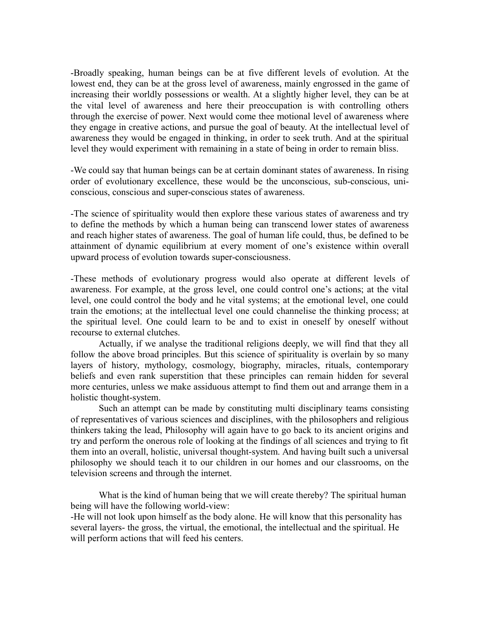-Broadly speaking, human beings can be at five different levels of evolution. At the lowest end, they can be at the gross level of awareness, mainly engrossed in the game of increasing their worldly possessions or wealth. At a slightly higher level, they can be at the vital level of awareness and here their preoccupation is with controlling others through the exercise of power. Next would come thee motional level of awareness where they engage in creative actions, and pursue the goal of beauty. At the intellectual level of awareness they would be engaged in thinking, in order to seek truth. And at the spiritual level they would experiment with remaining in a state of being in order to remain bliss.

-We could say that human beings can be at certain dominant states of awareness. In rising order of evolutionary excellence, these would be the unconscious, sub-conscious, uniconscious, conscious and super-conscious states of awareness.

-The science of spirituality would then explore these various states of awareness and try to define the methods by which a human being can transcend lower states of awareness and reach higher states of awareness. The goal of human life could, thus, be defined to be attainment of dynamic equilibrium at every moment of one's existence within overall upward process of evolution towards super-consciousness.

-These methods of evolutionary progress would also operate at different levels of awareness. For example, at the gross level, one could control one's actions; at the vital level, one could control the body and he vital systems; at the emotional level, one could train the emotions; at the intellectual level one could channelise the thinking process; at the spiritual level. One could learn to be and to exist in oneself by oneself without recourse to external clutches.

Actually, if we analyse the traditional religions deeply, we will find that they all follow the above broad principles. But this science of spirituality is overlain by so many layers of history, mythology, cosmology, biography, miracles, rituals, contemporary beliefs and even rank superstition that these principles can remain hidden for several more centuries, unless we make assiduous attempt to find them out and arrange them in a holistic thought-system.

Such an attempt can be made by constituting multi disciplinary teams consisting of representatives of various sciences and disciplines, with the philosophers and religious thinkers taking the lead, Philosophy will again have to go back to its ancient origins and try and perform the onerous role of looking at the findings of all sciences and trying to fit them into an overall, holistic, universal thought-system. And having built such a universal philosophy we should teach it to our children in our homes and our classrooms, on the television screens and through the internet.

What is the kind of human being that we will create thereby? The spiritual human being will have the following world-view:

-He will not look upon himself as the body alone. He will know that this personality has several layers- the gross, the virtual, the emotional, the intellectual and the spiritual. He will perform actions that will feed his centers.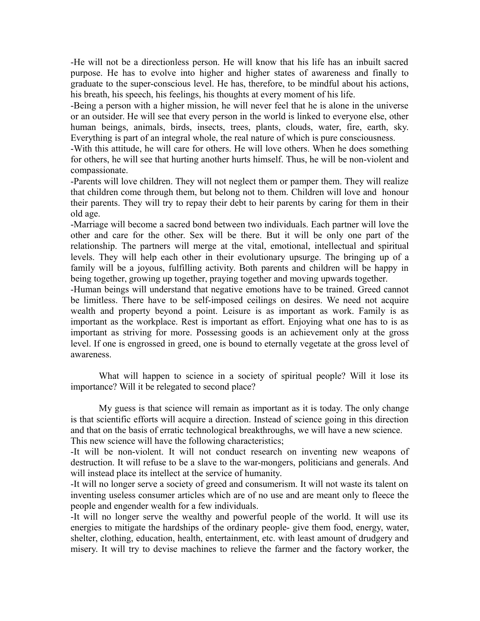-He will not be a directionless person. He will know that his life has an inbuilt sacred purpose. He has to evolve into higher and higher states of awareness and finally to graduate to the super-conscious level. He has, therefore, to be mindful about his actions, his breath, his speech, his feelings, his thoughts at every moment of his life.

-Being a person with a higher mission, he will never feel that he is alone in the universe or an outsider. He will see that every person in the world is linked to everyone else, other human beings, animals, birds, insects, trees, plants, clouds, water, fire, earth, sky. Everything is part of an integral whole, the real nature of which is pure consciousness.

-With this attitude, he will care for others. He will love others. When he does something for others, he will see that hurting another hurts himself. Thus, he will be non-violent and compassionate.

-Parents will love children. They will not neglect them or pamper them. They will realize that children come through them, but belong not to them. Children will love and honour their parents. They will try to repay their debt to heir parents by caring for them in their old age.

-Marriage will become a sacred bond between two individuals. Each partner will love the other and care for the other. Sex will be there. But it will be only one part of the relationship. The partners will merge at the vital, emotional, intellectual and spiritual levels. They will help each other in their evolutionary upsurge. The bringing up of a family will be a joyous, fulfilling activity. Both parents and children will be happy in being together, growing up together, praying together and moving upwards together.

-Human beings will understand that negative emotions have to be trained. Greed cannot be limitless. There have to be self-imposed ceilings on desires. We need not acquire wealth and property beyond a point. Leisure is as important as work. Family is as important as the workplace. Rest is important as effort. Enjoying what one has to is as important as striving for more. Possessing goods is an achievement only at the gross level. If one is engrossed in greed, one is bound to eternally vegetate at the gross level of awareness.

What will happen to science in a society of spiritual people? Will it lose its importance? Will it be relegated to second place?

My guess is that science will remain as important as it is today. The only change is that scientific efforts will acquire a direction. Instead of science going in this direction and that on the basis of erratic technological breakthroughs, we will have a new science. This new science will have the following characteristics;

-It will be non-violent. It will not conduct research on inventing new weapons of destruction. It will refuse to be a slave to the war-mongers, politicians and generals. And will instead place its intellect at the service of humanity.

-It will no longer serve a society of greed and consumerism. It will not waste its talent on inventing useless consumer articles which are of no use and are meant only to fleece the people and engender wealth for a few individuals.

-It will no longer serve the wealthy and powerful people of the world. It will use its energies to mitigate the hardships of the ordinary people- give them food, energy, water, shelter, clothing, education, health, entertainment, etc. with least amount of drudgery and misery. It will try to devise machines to relieve the farmer and the factory worker, the